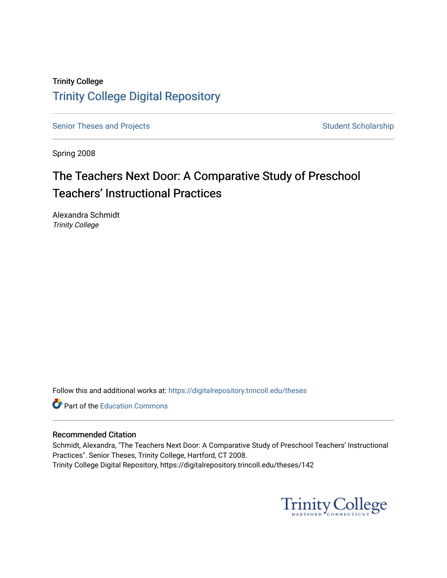## Trinity College [Trinity College Digital Repository](https://digitalrepository.trincoll.edu/)

[Senior Theses and Projects](https://digitalrepository.trincoll.edu/theses) Senior Theses and Projects Student Scholarship

Spring 2008

# The Teachers Next Door: A Comparative Study of Preschool Teachers' Instructional Practices

Alexandra Schmidt Trinity College

Follow this and additional works at: [https://digitalrepository.trincoll.edu/theses](https://digitalrepository.trincoll.edu/theses?utm_source=digitalrepository.trincoll.edu%2Ftheses%2F142&utm_medium=PDF&utm_campaign=PDFCoverPages)

Part of the [Education Commons](http://network.bepress.com/hgg/discipline/784?utm_source=digitalrepository.trincoll.edu%2Ftheses%2F142&utm_medium=PDF&utm_campaign=PDFCoverPages)

#### Recommended Citation

Schmidt, Alexandra, "The Teachers Next Door: A Comparative Study of Preschool Teachers' Instructional Practices". Senior Theses, Trinity College, Hartford, CT 2008. Trinity College Digital Repository, https://digitalrepository.trincoll.edu/theses/142

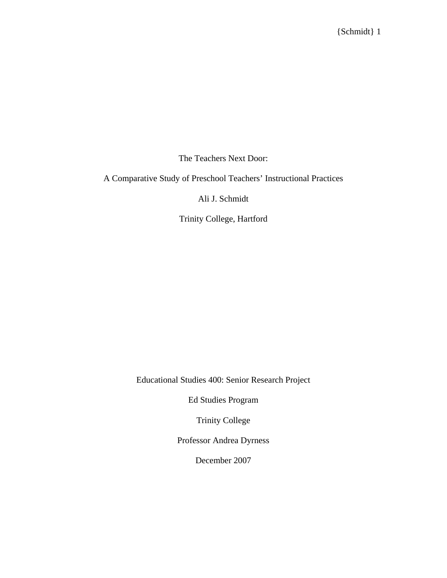The Teachers Next Door:

A Comparative Study of Preschool Teachers' Instructional Practices

Ali J. Schmidt

Trinity College, Hartford

Educational Studies 400: Senior Research Project

Ed Studies Program

Trinity College

Professor Andrea Dyrness

December 2007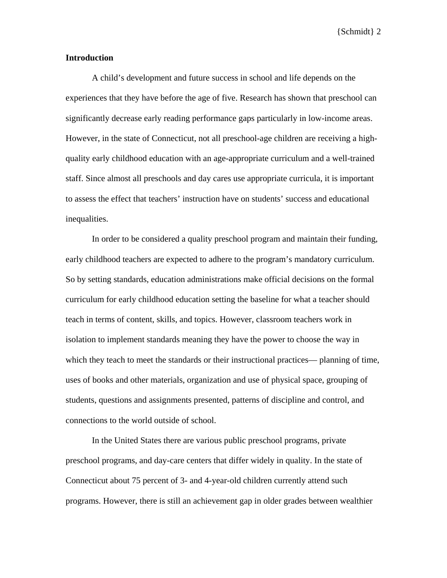#### **Introduction**

A child's development and future success in school and life depends on the experiences that they have before the age of five. Research has shown that preschool can significantly decrease early reading performance gaps particularly in low-income areas. However, in the state of Connecticut, not all preschool-age children are receiving a highquality early childhood education with an age-appropriate curriculum and a well-trained staff. Since almost all preschools and day cares use appropriate curricula, it is important to assess the effect that teachers' instruction have on students' success and educational inequalities.

In order to be considered a quality preschool program and maintain their funding, early childhood teachers are expected to adhere to the program's mandatory curriculum. So by setting standards, education administrations make official decisions on the formal curriculum for early childhood education setting the baseline for what a teacher should teach in terms of content, skills, and topics. However, classroom teachers work in isolation to implement standards meaning they have the power to choose the way in which they teach to meet the standards or their instructional practices— planning of time, uses of books and other materials, organization and use of physical space, grouping of students, questions and assignments presented, patterns of discipline and control, and connections to the world outside of school.

In the United States there are various public preschool programs, private preschool programs, and day-care centers that differ widely in quality. In the state of Connecticut about 75 percent of 3- and 4-year-old children currently attend such programs. However, there is still an achievement gap in older grades between wealthier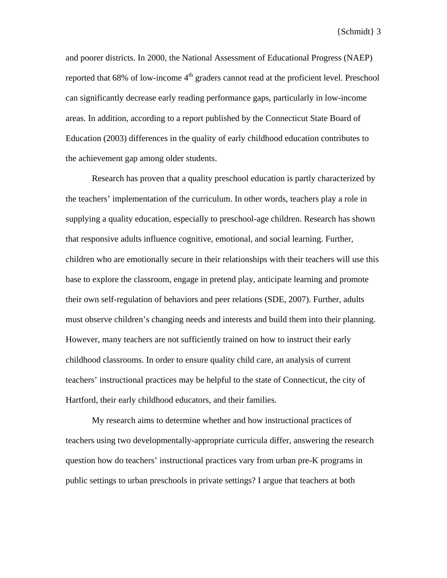and poorer districts. In 2000, the National Assessment of Educational Progress (NAEP) reported that  $68\%$  of low-income  $4<sup>th</sup>$  graders cannot read at the proficient level. Preschool can significantly decrease early reading performance gaps, particularly in low-income areas. In addition, according to a report published by the Connecticut State Board of Education (2003) differences in the quality of early childhood education contributes to the achievement gap among older students.

Research has proven that a quality preschool education is partly characterized by the teachers' implementation of the curriculum. In other words, teachers play a role in supplying a quality education, especially to preschool-age children. Research has shown that responsive adults influence cognitive, emotional, and social learning. Further, children who are emotionally secure in their relationships with their teachers will use this base to explore the classroom, engage in pretend play, anticipate learning and promote their own self-regulation of behaviors and peer relations (SDE, 2007). Further, adults must observe children's changing needs and interests and build them into their planning. However, many teachers are not sufficiently trained on how to instruct their early childhood classrooms. In order to ensure quality child care, an analysis of current teachers' instructional practices may be helpful to the state of Connecticut, the city of Hartford, their early childhood educators, and their families.

My research aims to determine whether and how instructional practices of teachers using two developmentally-appropriate curricula differ, answering the research question how do teachers' instructional practices vary from urban pre-K programs in public settings to urban preschools in private settings? I argue that teachers at both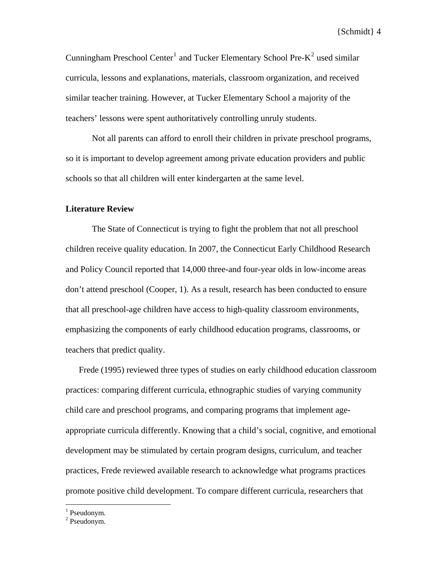Cunningham Preschool Center<sup>[1](#page-4-0)</sup> and Tucker Elementary School Pre- $K^2$  $K^2$  used similar curricula, lessons and explanations, materials, classroom organization, and received similar teacher training. However, at Tucker Elementary School a majority of the teachers' lessons were spent authoritatively controlling unruly students.

Not all parents can afford to enroll their children in private preschool programs, so it is important to develop agreement among private education providers and public schools so that all children will enter kindergarten at the same level.

#### **Literature Review**

The State of Connecticut is trying to fight the problem that not all preschool children receive quality education. In 2007, the Connecticut Early Childhood Research and Policy Council reported that 14,000 three-and four-year olds in low-income areas don't attend preschool (Cooper, 1). As a result, research has been conducted to ensure that all preschool-age children have access to high-quality classroom environments, emphasizing the components of early childhood education programs, classrooms, or teachers that predict quality.

Frede (1995) reviewed three types of studies on early childhood education classroom practices: comparing different curricula, ethnographic studies of varying community child care and preschool programs, and comparing programs that implement ageappropriate curricula differently. Knowing that a child's social, cognitive, and emotional development may be stimulated by certain program designs, curriculum, and teacher practices, Frede reviewed available research to acknowledge what programs practices promote positive child development. To compare different curricula, researchers that

 $\overline{a}$ 

<span id="page-4-0"></span><sup>&</sup>lt;sup>1</sup> Pseudonym.

<span id="page-4-1"></span><sup>2</sup> Pseudonym.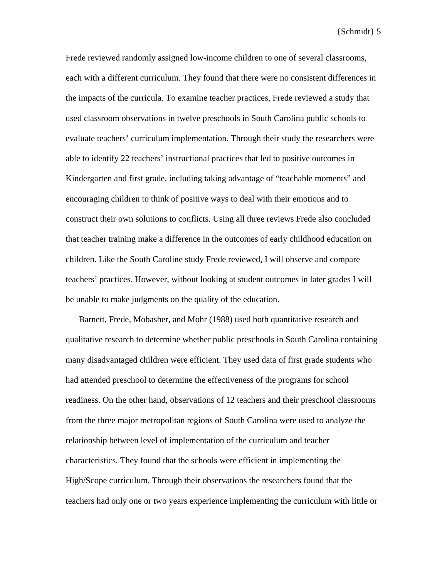Frede reviewed randomly assigned low-income children to one of several classrooms, each with a different curriculum. They found that there were no consistent differences in the impacts of the curricula. To examine teacher practices, Frede reviewed a study that used classroom observations in twelve preschools in South Carolina public schools to evaluate teachers' curriculum implementation. Through their study the researchers were able to identify 22 teachers' instructional practices that led to positive outcomes in Kindergarten and first grade, including taking advantage of "teachable moments" and encouraging children to think of positive ways to deal with their emotions and to construct their own solutions to conflicts. Using all three reviews Frede also concluded that teacher training make a difference in the outcomes of early childhood education on children. Like the South Caroline study Frede reviewed, I will observe and compare teachers' practices. However, without looking at student outcomes in later grades I will be unable to make judgments on the quality of the education.

Barnett, Frede, Mobasher, and Mohr (1988) used both quantitative research and qualitative research to determine whether public preschools in South Carolina containing many disadvantaged children were efficient. They used data of first grade students who had attended preschool to determine the effectiveness of the programs for school readiness. On the other hand, observations of 12 teachers and their preschool classrooms from the three major metropolitan regions of South Carolina were used to analyze the relationship between level of implementation of the curriculum and teacher characteristics. They found that the schools were efficient in implementing the High/Scope curriculum. Through their observations the researchers found that the teachers had only one or two years experience implementing the curriculum with little or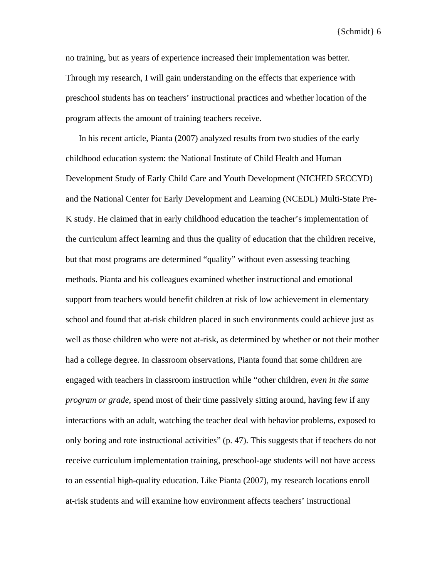no training, but as years of experience increased their implementation was better. Through my research, I will gain understanding on the effects that experience with preschool students has on teachers' instructional practices and whether location of the program affects the amount of training teachers receive.

In his recent article, Pianta (2007) analyzed results from two studies of the early childhood education system: the National Institute of Child Health and Human Development Study of Early Child Care and Youth Development (NICHED SECCYD) and the National Center for Early Development and Learning (NCEDL) Multi-State Pre-K study. He claimed that in early childhood education the teacher's implementation of the curriculum affect learning and thus the quality of education that the children receive, but that most programs are determined "quality" without even assessing teaching methods. Pianta and his colleagues examined whether instructional and emotional support from teachers would benefit children at risk of low achievement in elementary school and found that at-risk children placed in such environments could achieve just as well as those children who were not at-risk, as determined by whether or not their mother had a college degree. In classroom observations, Pianta found that some children are engaged with teachers in classroom instruction while "other children, *even in the same program or grade*, spend most of their time passively sitting around, having few if any interactions with an adult, watching the teacher deal with behavior problems, exposed to only boring and rote instructional activities" (p. 47). This suggests that if teachers do not receive curriculum implementation training, preschool-age students will not have access to an essential high-quality education. Like Pianta (2007), my research locations enroll at-risk students and will examine how environment affects teachers' instructional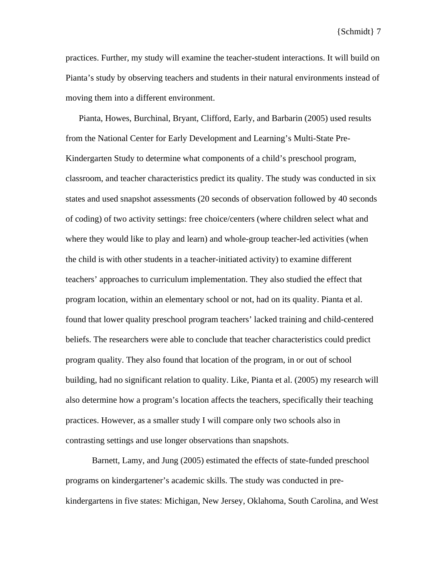practices. Further, my study will examine the teacher-student interactions. It will build on Pianta's study by observing teachers and students in their natural environments instead of moving them into a different environment.

Pianta, Howes, Burchinal, Bryant, Clifford, Early, and Barbarin (2005) used results from the National Center for Early Development and Learning's Multi-State Pre-Kindergarten Study to determine what components of a child's preschool program, classroom, and teacher characteristics predict its quality. The study was conducted in six states and used snapshot assessments (20 seconds of observation followed by 40 seconds of coding) of two activity settings: free choice/centers (where children select what and where they would like to play and learn) and whole-group teacher-led activities (when the child is with other students in a teacher-initiated activity) to examine different teachers' approaches to curriculum implementation. They also studied the effect that program location, within an elementary school or not, had on its quality. Pianta et al. found that lower quality preschool program teachers' lacked training and child-centered beliefs. The researchers were able to conclude that teacher characteristics could predict program quality. They also found that location of the program, in or out of school building, had no significant relation to quality. Like, Pianta et al. (2005) my research will also determine how a program's location affects the teachers, specifically their teaching practices. However, as a smaller study I will compare only two schools also in contrasting settings and use longer observations than snapshots.

 Barnett, Lamy, and Jung (2005) estimated the effects of state-funded preschool programs on kindergartener's academic skills. The study was conducted in prekindergartens in five states: Michigan, New Jersey, Oklahoma, South Carolina, and West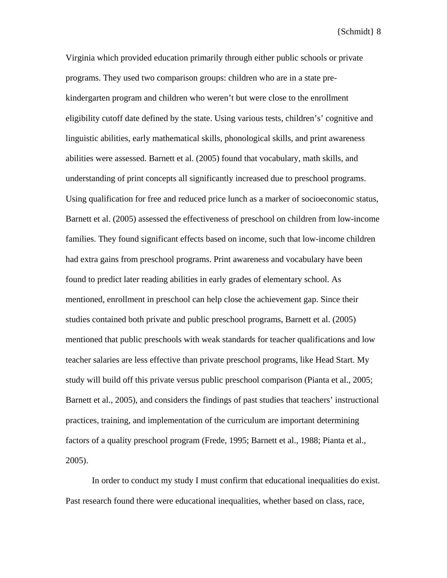Virginia which provided education primarily through either public schools or private programs. They used two comparison groups: children who are in a state prekindergarten program and children who weren't but were close to the enrollment eligibility cutoff date defined by the state. Using various tests, children's' cognitive and linguistic abilities, early mathematical skills, phonological skills, and print awareness abilities were assessed. Barnett et al. (2005) found that vocabulary, math skills, and understanding of print concepts all significantly increased due to preschool programs. Using qualification for free and reduced price lunch as a marker of socioeconomic status, Barnett et al. (2005) assessed the effectiveness of preschool on children from low-income families. They found significant effects based on income, such that low-income children had extra gains from preschool programs. Print awareness and vocabulary have been found to predict later reading abilities in early grades of elementary school. As mentioned, enrollment in preschool can help close the achievement gap. Since their studies contained both private and public preschool programs, Barnett et al. (2005) mentioned that public preschools with weak standards for teacher qualifications and low teacher salaries are less effective than private preschool programs, like Head Start. My study will build off this private versus public preschool comparison (Pianta et al., 2005; Barnett et al., 2005), and considers the findings of past studies that teachers' instructional practices, training, and implementation of the curriculum are important determining factors of a quality preschool program (Frede, 1995; Barnett et al., 1988; Pianta et al., 2005).

In order to conduct my study I must confirm that educational inequalities do exist. Past research found there were educational inequalities, whether based on class, race,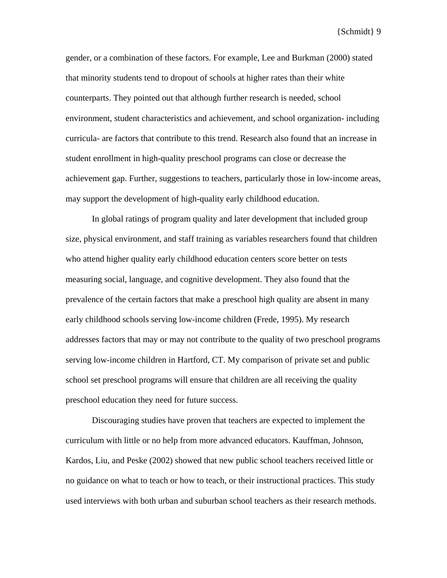gender, or a combination of these factors. For example, Lee and Burkman (2000) stated that minority students tend to dropout of schools at higher rates than their white counterparts. They pointed out that although further research is needed, school environment, student characteristics and achievement, and school organization- including curricula- are factors that contribute to this trend. Research also found that an increase in student enrollment in high-quality preschool programs can close or decrease the achievement gap. Further, suggestions to teachers, particularly those in low-income areas, may support the development of high-quality early childhood education.

In global ratings of program quality and later development that included group size, physical environment, and staff training as variables researchers found that children who attend higher quality early childhood education centers score better on tests measuring social, language, and cognitive development. They also found that the prevalence of the certain factors that make a preschool high quality are absent in many early childhood schools serving low-income children (Frede, 1995). My research addresses factors that may or may not contribute to the quality of two preschool programs serving low-income children in Hartford, CT. My comparison of private set and public school set preschool programs will ensure that children are all receiving the quality preschool education they need for future success.

Discouraging studies have proven that teachers are expected to implement the curriculum with little or no help from more advanced educators. Kauffman, Johnson, Kardos, Liu, and Peske (2002) showed that new public school teachers received little or no guidance on what to teach or how to teach, or their instructional practices. This study used interviews with both urban and suburban school teachers as their research methods.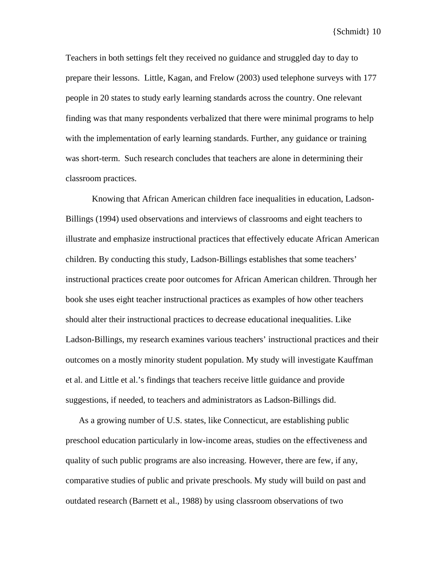Teachers in both settings felt they received no guidance and struggled day to day to prepare their lessons. Little, Kagan, and Frelow (2003) used telephone surveys with 177 people in 20 states to study early learning standards across the country. One relevant finding was that many respondents verbalized that there were minimal programs to help with the implementation of early learning standards. Further, any guidance or training was short-term. Such research concludes that teachers are alone in determining their classroom practices.

Knowing that African American children face inequalities in education, Ladson-Billings (1994) used observations and interviews of classrooms and eight teachers to illustrate and emphasize instructional practices that effectively educate African American children. By conducting this study, Ladson-Billings establishes that some teachers' instructional practices create poor outcomes for African American children. Through her book she uses eight teacher instructional practices as examples of how other teachers should alter their instructional practices to decrease educational inequalities. Like Ladson-Billings, my research examines various teachers' instructional practices and their outcomes on a mostly minority student population. My study will investigate Kauffman et al. and Little et al.'s findings that teachers receive little guidance and provide suggestions, if needed, to teachers and administrators as Ladson-Billings did.

As a growing number of U.S. states, like Connecticut, are establishing public preschool education particularly in low-income areas, studies on the effectiveness and quality of such public programs are also increasing. However, there are few, if any, comparative studies of public and private preschools. My study will build on past and outdated research (Barnett et al., 1988) by using classroom observations of two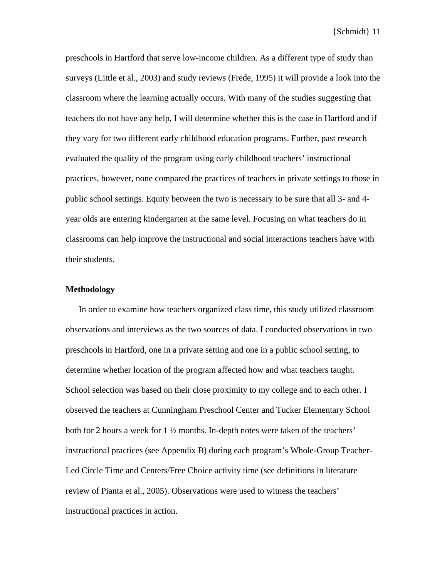preschools in Hartford that serve low-income children. As a different type of study than surveys (Little et al., 2003) and study reviews (Frede, 1995) it will provide a look into the classroom where the learning actually occurs. With many of the studies suggesting that teachers do not have any help, I will determine whether this is the case in Hartford and if they vary for two different early childhood education programs. Further, past research evaluated the quality of the program using early childhood teachers' instructional practices, however, none compared the practices of teachers in private settings to those in public school settings. Equity between the two is necessary to be sure that all 3- and 4 year olds are entering kindergarten at the same level. Focusing on what teachers do in classrooms can help improve the instructional and social interactions teachers have with their students.

#### **Methodology**

In order to examine how teachers organized class time, this study utilized classroom observations and interviews as the two sources of data. I conducted observations in two preschools in Hartford, one in a private setting and one in a public school setting, to determine whether location of the program affected how and what teachers taught. School selection was based on their close proximity to my college and to each other. I observed the teachers at Cunningham Preschool Center and Tucker Elementary School both for 2 hours a week for 1 ½ months. In-depth notes were taken of the teachers' instructional practices (see Appendix B) during each program's Whole-Group Teacher-Led Circle Time and Centers/Free Choice activity time (see definitions in literature review of Pianta et al., 2005). Observations were used to witness the teachers' instructional practices in action.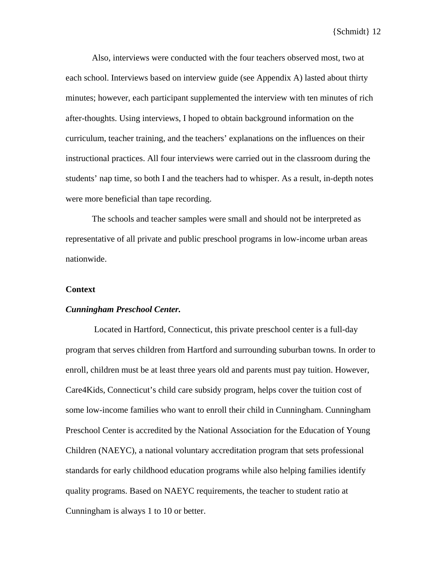Also, interviews were conducted with the four teachers observed most, two at each school. Interviews based on interview guide (see Appendix A) lasted about thirty minutes; however, each participant supplemented the interview with ten minutes of rich after-thoughts. Using interviews, I hoped to obtain background information on the curriculum, teacher training, and the teachers' explanations on the influences on their instructional practices. All four interviews were carried out in the classroom during the students' nap time, so both I and the teachers had to whisper. As a result, in-depth notes were more beneficial than tape recording.

The schools and teacher samples were small and should not be interpreted as representative of all private and public preschool programs in low-income urban areas nationwide.

#### **Context**

#### *Cunningham Preschool Center.*

 Located in Hartford, Connecticut, this private preschool center is a full-day program that serves children from Hartford and surrounding suburban towns. In order to enroll, children must be at least three years old and parents must pay tuition. However, Care4Kids, Connecticut's child care subsidy program, helps cover the tuition cost of some low-income families who want to enroll their child in Cunningham. Cunningham Preschool Center is accredited by the National Association for the Education of Young Children (NAEYC), a national voluntary accreditation program that sets professional standards for early childhood education programs while also helping families identify quality programs. Based on NAEYC requirements, the teacher to student ratio at Cunningham is always 1 to 10 or better.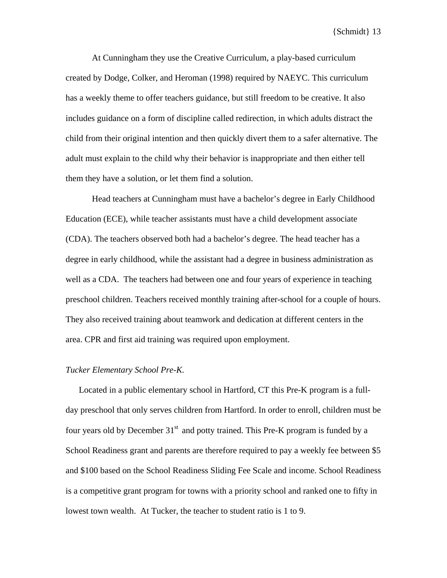At Cunningham they use the Creative Curriculum, a play-based curriculum created by Dodge, Colker, and Heroman (1998) required by NAEYC. This curriculum has a weekly theme to offer teachers guidance, but still freedom to be creative. It also includes guidance on a form of discipline called redirection, in which adults distract the child from their original intention and then quickly divert them to a safer alternative. The adult must explain to the child why their behavior is inappropriate and then either tell them they have a solution, or let them find a solution.

Head teachers at Cunningham must have a bachelor's degree in Early Childhood Education (ECE), while teacher assistants must have a child development associate (CDA). The teachers observed both had a bachelor's degree. The head teacher has a degree in early childhood, while the assistant had a degree in business administration as well as a CDA. The teachers had between one and four years of experience in teaching preschool children. Teachers received monthly training after-school for a couple of hours. They also received training about teamwork and dedication at different centers in the area. CPR and first aid training was required upon employment.

#### *Tucker Elementary School Pre-K.*

Located in a public elementary school in Hartford, CT this Pre-K program is a fullday preschool that only serves children from Hartford. In order to enroll, children must be four years old by December  $31<sup>st</sup>$  and potty trained. This Pre-K program is funded by a School Readiness grant and parents are therefore required to pay a weekly fee between \$5 and \$100 based on the School Readiness Sliding Fee Scale and income. School Readiness is a competitive grant program for towns with a priority school and ranked one to fifty in lowest town wealth. At Tucker, the teacher to student ratio is 1 to 9.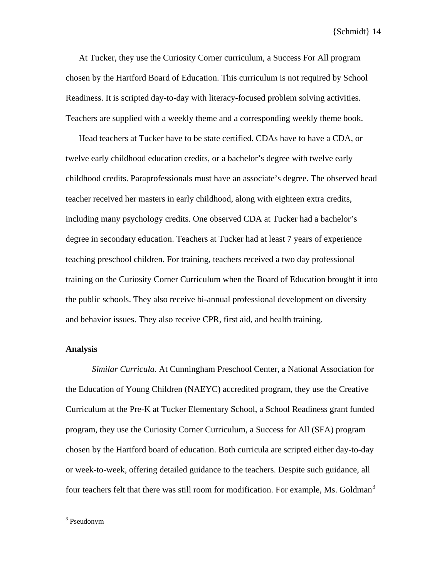At Tucker, they use the Curiosity Corner curriculum, a Success For All program chosen by the Hartford Board of Education. This curriculum is not required by School Readiness. It is scripted day-to-day with literacy-focused problem solving activities. Teachers are supplied with a weekly theme and a corresponding weekly theme book.

Head teachers at Tucker have to be state certified. CDAs have to have a CDA, or twelve early childhood education credits, or a bachelor's degree with twelve early childhood credits. Paraprofessionals must have an associate's degree. The observed head teacher received her masters in early childhood, along with eighteen extra credits, including many psychology credits. One observed CDA at Tucker had a bachelor's degree in secondary education. Teachers at Tucker had at least 7 years of experience teaching preschool children. For training, teachers received a two day professional training on the Curiosity Corner Curriculum when the Board of Education brought it into the public schools. They also receive bi-annual professional development on diversity and behavior issues. They also receive CPR, first aid, and health training.

#### **Analysis**

*Similar Curricula.* At Cunningham Preschool Center, a National Association for the Education of Young Children (NAEYC) accredited program, they use the Creative Curriculum at the Pre-K at Tucker Elementary School, a School Readiness grant funded program, they use the Curiosity Corner Curriculum, a Success for All (SFA) program chosen by the Hartford board of education. Both curricula are scripted either day-to-day or week-to-week, offering detailed guidance to the teachers. Despite such guidance, all four teachers felt that there was still room for modification. For example, Ms. Goldman<sup>[3](#page-14-0)</sup>

<u>.</u>

<span id="page-14-0"></span><sup>&</sup>lt;sup>3</sup> Pseudonym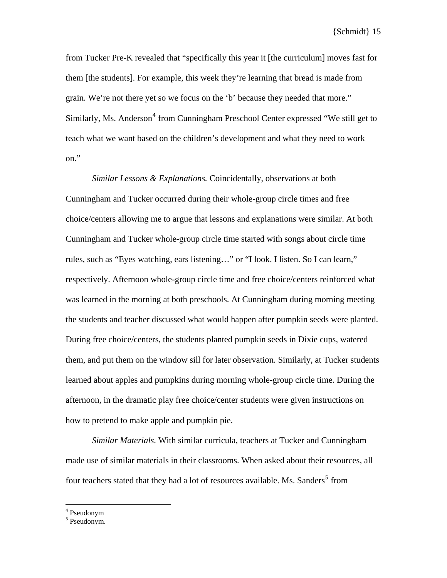from Tucker Pre-K revealed that "specifically this year it [the curriculum] moves fast for them [the students]. For example, this week they're learning that bread is made from grain. We're not there yet so we focus on the 'b' because they needed that more." Similarly, Ms. Anderson<sup>[4](#page-15-0)</sup> from Cunningham Preschool Center expressed "We still get to teach what we want based on the children's development and what they need to work on."

*Similar Lessons & Explanations.* Coincidentally, observations at both Cunningham and Tucker occurred during their whole-group circle times and free choice/centers allowing me to argue that lessons and explanations were similar. At both Cunningham and Tucker whole-group circle time started with songs about circle time rules, such as "Eyes watching, ears listening…" or "I look. I listen. So I can learn," respectively. Afternoon whole-group circle time and free choice/centers reinforced what was learned in the morning at both preschools. At Cunningham during morning meeting the students and teacher discussed what would happen after pumpkin seeds were planted. During free choice/centers, the students planted pumpkin seeds in Dixie cups, watered them, and put them on the window sill for later observation. Similarly, at Tucker students learned about apples and pumpkins during morning whole-group circle time. During the afternoon, in the dramatic play free choice/center students were given instructions on how to pretend to make apple and pumpkin pie.

*Similar Materials.* With similar curricula, teachers at Tucker and Cunningham made use of similar materials in their classrooms. When asked about their resources, all four teachers stated that they had a lot of resources available. Ms. Sanders<sup>[5](#page-15-1)</sup> from

<span id="page-15-0"></span>4 Pseudonym

 $\overline{a}$ 

<span id="page-15-1"></span><sup>5</sup> Pseudonym.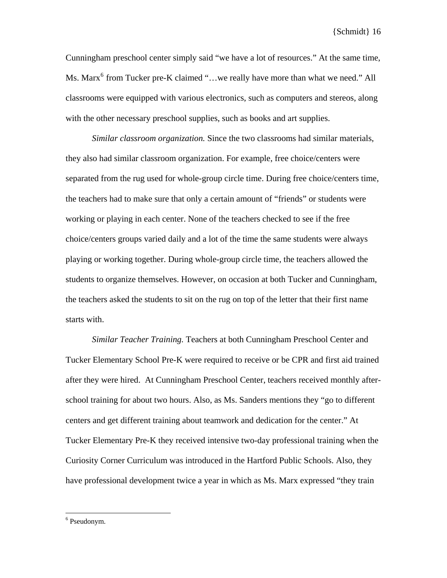Cunningham preschool center simply said "we have a lot of resources." At the same time, Ms. Marx<sup>[6](#page-16-0)</sup> from Tucker pre-K claimed "...we really have more than what we need." All classrooms were equipped with various electronics, such as computers and stereos, along with the other necessary preschool supplies, such as books and art supplies.

*Similar classroom organization.* Since the two classrooms had similar materials, they also had similar classroom organization. For example, free choice/centers were separated from the rug used for whole-group circle time. During free choice/centers time, the teachers had to make sure that only a certain amount of "friends" or students were working or playing in each center. None of the teachers checked to see if the free choice/centers groups varied daily and a lot of the time the same students were always playing or working together. During whole-group circle time, the teachers allowed the students to organize themselves. However, on occasion at both Tucker and Cunningham, the teachers asked the students to sit on the rug on top of the letter that their first name starts with.

*Similar Teacher Training.* Teachers at both Cunningham Preschool Center and Tucker Elementary School Pre-K were required to receive or be CPR and first aid trained after they were hired. At Cunningham Preschool Center, teachers received monthly afterschool training for about two hours. Also, as Ms. Sanders mentions they "go to different centers and get different training about teamwork and dedication for the center." At Tucker Elementary Pre-K they received intensive two-day professional training when the Curiosity Corner Curriculum was introduced in the Hartford Public Schools. Also, they have professional development twice a year in which as Ms. Marx expressed "they train

 $\overline{a}$ 

<span id="page-16-0"></span><sup>&</sup>lt;sup>6</sup> Pseudonym.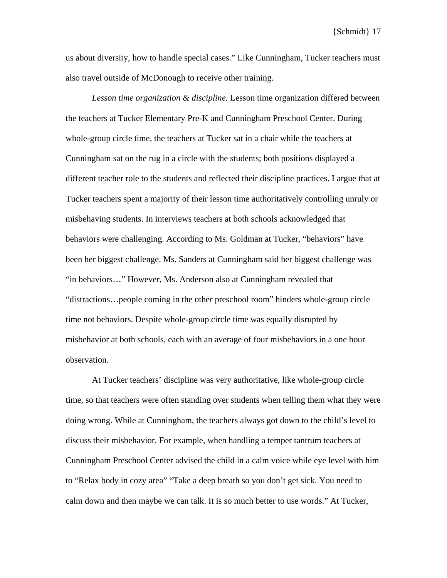us about diversity, how to handle special cases." Like Cunningham, Tucker teachers must also travel outside of McDonough to receive other training.

*Lesson time organization & discipline.* Lesson time organization differed between the teachers at Tucker Elementary Pre-K and Cunningham Preschool Center. During whole-group circle time, the teachers at Tucker sat in a chair while the teachers at Cunningham sat on the rug in a circle with the students; both positions displayed a different teacher role to the students and reflected their discipline practices. I argue that at Tucker teachers spent a majority of their lesson time authoritatively controlling unruly or misbehaving students. In interviews teachers at both schools acknowledged that behaviors were challenging. According to Ms. Goldman at Tucker, "behaviors" have been her biggest challenge. Ms. Sanders at Cunningham said her biggest challenge was "in behaviors…" However, Ms. Anderson also at Cunningham revealed that "distractions…people coming in the other preschool room" hinders whole-group circle time not behaviors. Despite whole-group circle time was equally disrupted by misbehavior at both schools, each with an average of four misbehaviors in a one hour observation.

At Tucker teachers' discipline was very authoritative, like whole-group circle time, so that teachers were often standing over students when telling them what they were doing wrong. While at Cunningham, the teachers always got down to the child's level to discuss their misbehavior. For example, when handling a temper tantrum teachers at Cunningham Preschool Center advised the child in a calm voice while eye level with him to "Relax body in cozy area" "Take a deep breath so you don't get sick. You need to calm down and then maybe we can talk. It is so much better to use words." At Tucker,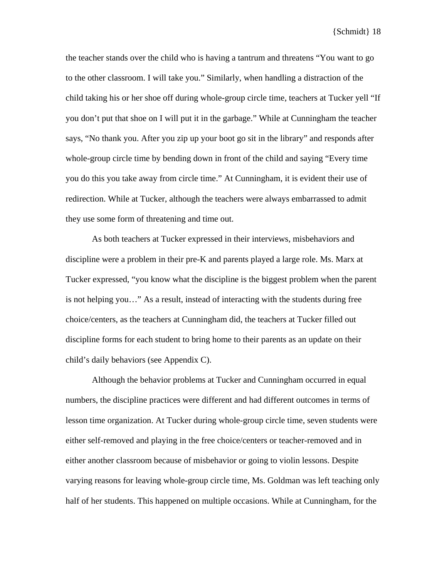the teacher stands over the child who is having a tantrum and threatens "You want to go to the other classroom. I will take you." Similarly, when handling a distraction of the child taking his or her shoe off during whole-group circle time, teachers at Tucker yell "If you don't put that shoe on I will put it in the garbage." While at Cunningham the teacher says, "No thank you. After you zip up your boot go sit in the library" and responds after whole-group circle time by bending down in front of the child and saying "Every time you do this you take away from circle time." At Cunningham, it is evident their use of redirection. While at Tucker, although the teachers were always embarrassed to admit they use some form of threatening and time out.

As both teachers at Tucker expressed in their interviews, misbehaviors and discipline were a problem in their pre-K and parents played a large role. Ms. Marx at Tucker expressed, "you know what the discipline is the biggest problem when the parent is not helping you…" As a result, instead of interacting with the students during free choice/centers, as the teachers at Cunningham did, the teachers at Tucker filled out discipline forms for each student to bring home to their parents as an update on their child's daily behaviors (see Appendix C).

Although the behavior problems at Tucker and Cunningham occurred in equal numbers, the discipline practices were different and had different outcomes in terms of lesson time organization. At Tucker during whole-group circle time, seven students were either self-removed and playing in the free choice/centers or teacher-removed and in either another classroom because of misbehavior or going to violin lessons. Despite varying reasons for leaving whole-group circle time, Ms. Goldman was left teaching only half of her students. This happened on multiple occasions. While at Cunningham, for the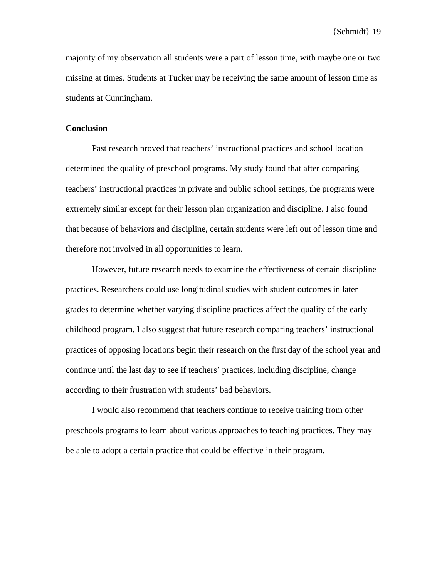majority of my observation all students were a part of lesson time, with maybe one or two missing at times. Students at Tucker may be receiving the same amount of lesson time as students at Cunningham.

#### **Conclusion**

 Past research proved that teachers' instructional practices and school location determined the quality of preschool programs. My study found that after comparing teachers' instructional practices in private and public school settings, the programs were extremely similar except for their lesson plan organization and discipline. I also found that because of behaviors and discipline, certain students were left out of lesson time and therefore not involved in all opportunities to learn.

However, future research needs to examine the effectiveness of certain discipline practices. Researchers could use longitudinal studies with student outcomes in later grades to determine whether varying discipline practices affect the quality of the early childhood program. I also suggest that future research comparing teachers' instructional practices of opposing locations begin their research on the first day of the school year and continue until the last day to see if teachers' practices, including discipline, change according to their frustration with students' bad behaviors.

I would also recommend that teachers continue to receive training from other preschools programs to learn about various approaches to teaching practices. They may be able to adopt a certain practice that could be effective in their program.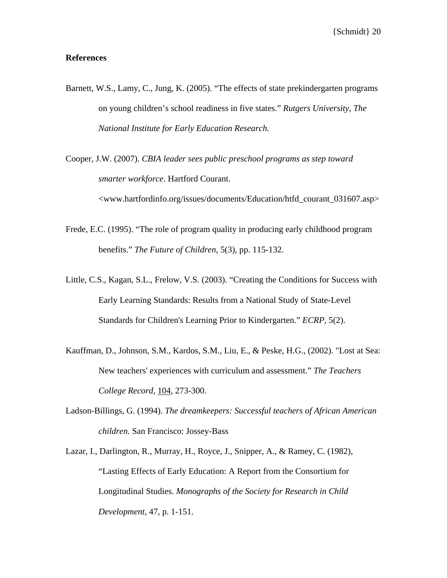#### **References**

- Barnett, W.S., Lamy, C., Jung, K. (2005). "The effects of state prekindergarten programs on young children's school readiness in five states." *Rutgers University, The National Institute for Early Education Research.*
- Cooper, J.W. (2007). *CBIA leader sees public preschool programs as step toward smarter workforce*. Hartford Courant. <www.hartfordinfo.org/issues/documents/Education/htfd\_courant\_031607.asp>
- Frede, E.C. (1995). "The role of program quality in producing early childhood program benefits." *The Future of Children*, 5(3), pp. 115-132.
- Little, C.S., Kagan, S.L., Frelow, V.S. (2003). "Creating the Conditions for Success with Early Learning Standards: Results from a National Study of State-Level Standards for Children's Learning Prior to Kindergarten." *ECRP,* 5(2).
- Kauffman, D., Johnson, S.M., Kardos, S.M., Liu, E., & Peske, H.G., (2002). "Lost at Sea: New teachers' experiences with curriculum and assessment." *The Teachers College Record,* 104, 273-300.
- Ladson-Billings, G. (1994). *The dreamkeepers: Successful teachers of African American children.* San Francisco: Jossey-Bass
- Lazar, I., Darlington, R., Murray, H., Royce, J., Snipper, A., & Ramey, C. (1982), "Lasting Effects of Early Education: A Report from the Consortium for Longitudinal Studies. *Monographs of the Society for Research in Child Development*, 47, p. 1-151.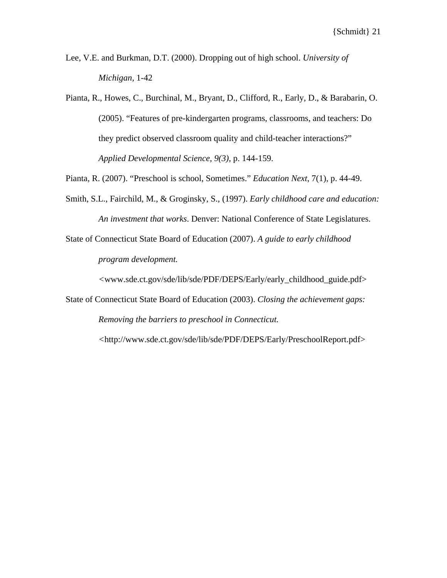- Lee, V.E. and Burkman, D.T. (2000). Dropping out of high school. *University of Michigan,* 1-42
- Pianta, R., Howes, C., Burchinal, M., Bryant, D., Clifford, R., Early, D., & Barabarin, O. (2005). "Features of pre-kindergarten programs, classrooms, and teachers: Do they predict observed classroom quality and child-teacher interactions?" *Applied Developmental Science, 9(3),* p. 144-159.

Pianta, R. (2007). "Preschool is school, Sometimes." *Education Next*, 7(1), p. 44-49.

- Smith, S.L., Fairchild, M., & Groginsky, S., (1997). *Early childhood care and education: An investment that works*. Denver: National Conference of State Legislatures.
- State of Connecticut State Board of Education (2007). *A guide to early childhood program development.*

*<*www.sde.ct.gov/sde/lib/sde/PDF/DEPS/Early/early\_childhood\_guide.pdf>

State of Connecticut State Board of Education (2003). *Closing the achievement gaps: Removing the barriers to preschool in Connecticut.* 

*<*http://www.sde.ct.gov/sde/lib/sde/PDF/DEPS/Early/PreschoolReport.pdf>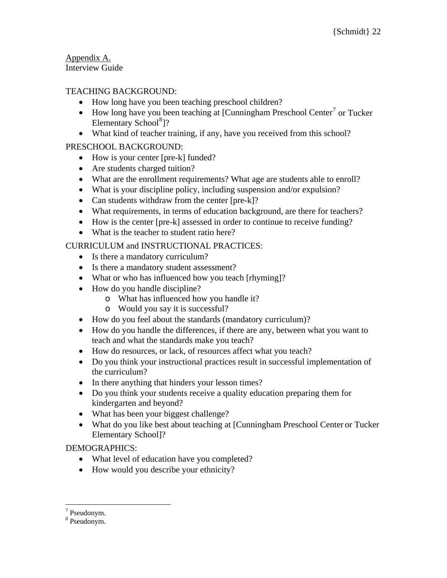Appendix A. Interview Guide

## TEACHING BACKGROUND:

- How long have you been teaching preschool children?
- How long have you been teaching at [Cunningham Preschool Center<sup>[7](#page-22-0)</sup> or Tucker Elementary School<sup>[8](#page-22-1)</sup>]?
- What kind of teacher training, if any, have you received from this school?

## PRESCHOOL BACKGROUND:

- How is your center [pre-k] funded?
- Are students charged tuition?
- What are the enrollment requirements? What age are students able to enroll?
- What is your discipline policy, including suspension and/or expulsion?
- Can students withdraw from the center [pre-k]?
- What requirements, in terms of education background, are there for teachers?
- How is the center [pre-k] assessed in order to continue to receive funding?
- What is the teacher to student ratio here?

## CURRICULUM and INSTRUCTIONAL PRACTICES:

- Is there a mandatory curriculum?
- Is there a mandatory student assessment?
- What or who has influenced how you teach [rhyming]?
- How do you handle discipline?
	- o What has influenced how you handle it?
	- o Would you say it is successful?
- How do you feel about the standards (mandatory curriculum)?
- How do you handle the differences, if there are any, between what you want to teach and what the standards make you teach?
- How do resources, or lack, of resources affect what you teach?
- Do you think your instructional practices result in successful implementation of the curriculum?
- In there anything that hinders your lesson times?
- Do you think your students receive a quality education preparing them for kindergarten and beyond?
- What has been your biggest challenge?
- What do you like best about teaching at [Cunningham Preschool Center or Tucker Elementary School]?

### DEMOGRAPHICS:

- What level of education have you completed?
- How would you describe your ethnicity?

 $\overline{a}$ 

<span id="page-22-0"></span><sup>7</sup> Pseudonym.

<span id="page-22-1"></span><sup>8</sup> Pseudonym.